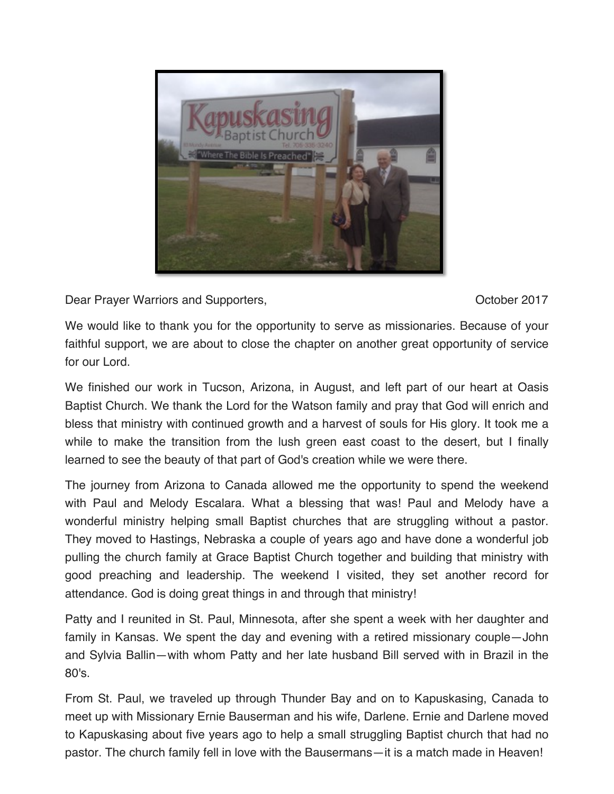

Dear Prayer Warriors and Supporters, New York 1988, New York 1988, New York 1988, New York 1988, New York 1989

We would like to thank you for the opportunity to serve as missionaries. Because of your faithful support, we are about to close the chapter on another great opportunity of service for our Lord.

We finished our work in Tucson, Arizona, in August, and left part of our heart at Oasis Baptist Church. We thank the Lord for the Watson family and pray that God will enrich and bless that ministry with continued growth and a harvest of souls for His glory. It took me a while to make the transition from the lush green east coast to the desert, but I finally learned to see the beauty of that part of God's creation while we were there.

The journey from Arizona to Canada allowed me the opportunity to spend the weekend with Paul and Melody Escalara. What a blessing that was! Paul and Melody have a wonderful ministry helping small Baptist churches that are struggling without a pastor. They moved to Hastings, Nebraska a couple of years ago and have done a wonderful job pulling the church family at Grace Baptist Church together and building that ministry with good preaching and leadership. The weekend I visited, they set another record for attendance. God is doing great things in and through that ministry!

Patty and I reunited in St. Paul, Minnesota, after she spent a week with her daughter and family in Kansas. We spent the day and evening with a retired missionary couple—John and Sylvia Ballin—with whom Patty and her late husband Bill served with in Brazil in the 80's.

From St. Paul, we traveled up through Thunder Bay and on to Kapuskasing, Canada to meet up with Missionary Ernie Bauserman and his wife, Darlene. Ernie and Darlene moved to Kapuskasing about five years ago to help a small struggling Baptist church that had no pastor. The church family fell in love with the Bausermans—it is a match made in Heaven!